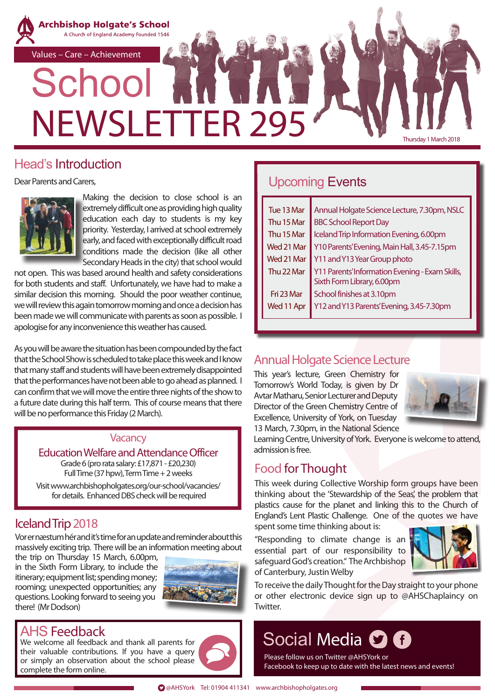

#### Head's Introduction

Dear Parents and Carers,



Making the decision to close school is an extremely difficult one as providing high quality education each day to students is my key priority. Yesterday, I arrived at school extremely early, and faced with exceptionally difficult road conditions made the decision (like all other Secondary Heads in the city) that school would

not open. This was based around health and safety considerations for both students and staff. Unfortunately, we have had to make a similar decision this morning. Should the poor weather continue, we will review this again tomorrow morning and once a decision has been made we will communicate with parents as soon as possible. I apologise for any inconvenience this weather has caused.

As you will be aware the situation has been compounded by the fact that the School Show is scheduled to take place this week and I know that many staff and students will have been extremely disappointed that the performances have not been able to go ahead as planned. I can confirm that we will move the entire three nights of the show to a future date during this half term. This of course means that there will be no performance this Friday (2 March).

#### **Vacancy**

Education Welfare and Attendance Officer Grade 6 (pro rata salary: £17,871 - £20,230) Full Time (37 hpw), Term Time + 2 weeks

Visit www.archbishopholgates.org/our-school/vacancies/ for details. Enhanced DBS check will be required

### Iceland Trip 2018

Vor er næstum hér and it's time for an update and reminder about this massively exciting trip. There will be an information meeting about

the trip on Thursday 15 March, 6.00pm, in the Sixth Form Library, to include the itinerary; equipment list; spending money; rooming; unexpected opportunities; any questions. Looking forward to seeing you there! (Mr Dodson)



### AHS Feedback

We welcome all feedback and thank all parents for their valuable contributions. If you have a query or simply an observation about the school please complete the form online.

### Upcoming Events

| Tue 13 Mar | Annual Holgate Science Lecture, 7.30pm, NSLC                                  |  |  |
|------------|-------------------------------------------------------------------------------|--|--|
| Thu 15 Mar | <b>BBC School Report Day</b>                                                  |  |  |
| Thu 15 Mar | Iceland Trip Information Evening, 6.00pm                                      |  |  |
| Wed 21 Mar | Y10 Parents' Evening, Main Hall, 3.45-7.15pm                                  |  |  |
| Wed 21 Mar | Y11 and Y13 Year Group photo                                                  |  |  |
| Thu 22 Mar | Y11 Parents' Information Evening - Exam Skills,<br>Sixth Form Library, 6.00pm |  |  |
| Fri 23 Mar | School finishes at 3.10pm                                                     |  |  |
| Wed 11 Apr | Y12 and Y13 Parents' Evening, 3.45-7.30pm                                     |  |  |
|            |                                                                               |  |  |

### Annual Holgate Science Lecture

This year's lecture, Green Chemistry for Tomorrow's World Today, is given by Dr Avtar Matharu, Senior Lecturer and Deputy Director of the Green Chemistry Centre of Excellence, University of York, on Tuesday 13 March, 7.30pm, in the National Science



Learning Centre, University of York. Everyone is welcome to attend, admission is free.

### Food for Thought

This week during Collective Worship form groups have been thinking about the 'Stewardship of the Seas', the problem that plastics cause for the planet and linking this to the Church of England's Lent Plastic Challenge. One of the quotes we have spent some time thinking about is:

"Responding to climate change is an essential part of our responsibility to safeguard God's creation." The Archbishop of Canterbury, Justin Welby



To receive the daily Thought for the Day straight to your phone or other electronic device sign up to @AHSChaplaincy on **Twitter** 

# Social Media **O O**

Please follow us on Twitter @AHSYork or Facebook to keep up to date with the latest news and events!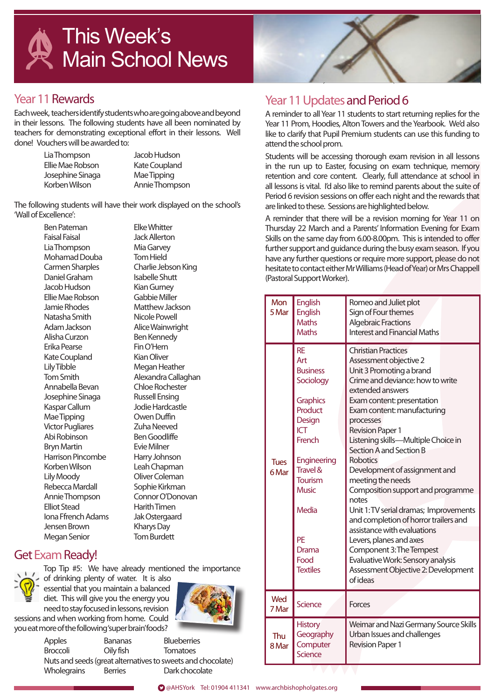

### Year 11 Rewards

Each week, teachers identify students who are going above and beyond in their lessons. The following students have all been nominated by teachers for demonstrating exceptional effort in their lessons. Well done! Vouchers will be awarded to:

> Lia Thompson Jacob Hudson Ellie Mae Robson Kate Coupland Josephine Sinaga Mae Tipping Korben Wilson Annie Thompson

The following students will have their work displayed on the school's 'Wall of Excellence':

 Ben Pateman Elke Whitter Faisal Faisal Jack Allerton Lia Thompson Mia Garvey Mohamad Douba Tom Hield Carmen Sharples Charlie Jebson King Daniel Graham Isabelle Shutt Jacob Hudson Kian Gurney Ellie Mae Robson<br>Jamie Bhodes Natasha Smith Nicole Powell Adam Jackson Alice Wainwright Alisha Curzon Ben Kennedy Erika Pearse Fin O'Hern Kate Coupland Kian Oliver Lily Tibble Megan Heather<br>Tom Smith Alexandra Callac Annabella Bevan Chloe Rochester Josephine Sinaga Russell Ensing<br>Kaspar Callum Russell Hardcastle Kaspar Callum Mae Tipping **Canada Company** Owen Duffin Victor Pugliares **Zuha Neeved** Abi Robinson Ben Goodliffe Bryn Martin Evie Milner Harrison Pincombe Harry Johnson Korben Wilson Leah Chapman Lily Moody Oliver Coleman Rebecca Mardall Sophie Kirkman Annie Thompson Connor O'Donovan Elliot Stead Harith Timen Iona Ffrench Adams Jak Ostergaard Jensen Brown Kharys Day Megan Senior Tom Burdett

Matthew Jackson Alexandra Callaghan

### Get Exam Ready!

Top Tip #5: We have already mentioned the importance of drinking plenty of water. It is also essential that you maintain a balanced diet. This will give you the energy you need to stay focused in lessons, revision sessions and when working from home. Could you eat more of the following 'super brain' foods?



Apples Bananas Blueberries Broccoli Oily fish Tomatoes Nuts and seeds (great alternatives to sweets and chocolate) Wholegrains Berries Dark chocolate

## Year 11 Updates and Period 6

A reminder to all Year 11 students to start returning replies for the Year 11 Prom, Hoodies, Alton Towers and the Yearbook. We'd also like to clarify that Pupil Premium students can use this funding to attend the school prom.

Students will be accessing thorough exam revision in all lessons in the run up to Easter, focusing on exam technique, memory retention and core content. Clearly, full attendance at school in all lessons is vital. I'd also like to remind parents about the suite of Period 6 revision sessions on offer each night and the rewards that are linked to these. Sessions are highlighted below.

A reminder that there will be a revision morning for Year 11 on Thursday 22 March and a Parents' Information Evening for Exam Skills on the same day from 6.00-8.00pm. This is intended to offer further support and guidance during the busy exam season. If you have any further questions or require more support, please do not hesitate to contact either Mr Williams (Head of Year) or Mrs Chappell (Pastoral Support Worker).

| Mon<br>5 Mar         | <b>English</b><br><b>English</b><br><b>Maths</b><br><b>Maths</b>                                                                                                                                                                        | Romeo and Juliet plot<br>Sign of Four themes<br><b>Algebraic Fractions</b><br><b>Interest and Financial Maths</b>                                                                                                                                                                                                                                                                                                                                                                                                                                                                                                                                                                                       |
|----------------------|-----------------------------------------------------------------------------------------------------------------------------------------------------------------------------------------------------------------------------------------|---------------------------------------------------------------------------------------------------------------------------------------------------------------------------------------------------------------------------------------------------------------------------------------------------------------------------------------------------------------------------------------------------------------------------------------------------------------------------------------------------------------------------------------------------------------------------------------------------------------------------------------------------------------------------------------------------------|
| <b>Tues</b><br>6 Mar | <b>RE</b><br>Art<br><b>Business</b><br>Sociology<br><b>Graphics</b><br>Product<br>Design<br><b>ICT</b><br>French<br>Engineering<br>Travel &<br><b>Tourism</b><br><b>Music</b><br><b>Media</b><br>PF<br>Drama<br>Food<br><b>Textiles</b> | <b>Christian Practices</b><br>Assessment objective 2<br>Unit 3 Promoting a brand<br>Crime and deviance: how to write<br>extended answers<br>Exam content: presentation<br>Exam content: manufacturing<br>processes<br><b>Revision Paper 1</b><br>Listening skills-Multiple Choice in<br>Section A and Section B<br><b>Robotics</b><br>Development of assignment and<br>meeting the needs<br>Composition support and programme<br>notes<br>Unit 1: TV serial dramas; Improvements<br>and completion of horror trailers and<br>assistance with evaluations<br>Levers, planes and axes<br>Component 3: The Tempest<br>Evaluative Work: Sensory analysis<br>Assessment Objective 2: Development<br>of ideas |
| Wed<br>7 Mar         | <b>Science</b>                                                                                                                                                                                                                          | Forces                                                                                                                                                                                                                                                                                                                                                                                                                                                                                                                                                                                                                                                                                                  |
| Thu<br>8 Mar         | <b>History</b><br>Geography<br>Computer<br><b>Science</b>                                                                                                                                                                               | Weimar and Nazi Germany Source Skills<br>Urban Issues and challenges<br><b>Revision Paper 1</b>                                                                                                                                                                                                                                                                                                                                                                                                                                                                                                                                                                                                         |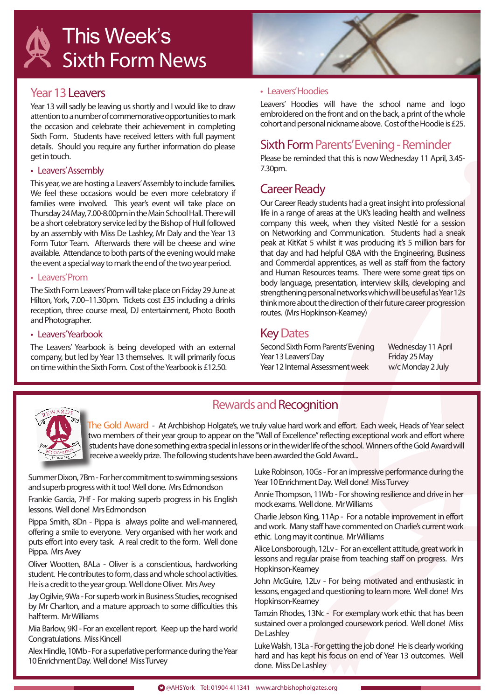

#### Year 13 Leavers

Year 13 will sadly be leaving us shortly and I would like to draw attention to a number of commemorative opportunities to mark the occasion and celebrate their achievement in completing Sixth Form. Students have received letters with full payment details. Should you require any further information do please get in touch.

#### • Leavers' Assembly

This year, we are hosting a Leavers' Assembly to include families. We feel these occasions would be even more celebratory if families were involved. This year's event will take place on Thursday 24 May, 7.00-8.00pm in the Main School Hall. There will be a short celebratory service led by the Bishop of Hull followed by an assembly with Miss De Lashley, Mr Daly and the Year 13 Form Tutor Team. Afterwards there will be cheese and wine available. Attendance to both parts of the evening would make the event a special way to mark the end of the two year period.

#### • Leavers' Prom

The Sixth Form Leavers' Prom will take place on Friday 29 June at Hilton, York, 7.00–11.30pm. Tickets cost £35 including a drinks reception, three course meal, DJ entertainment, Photo Booth and Photographer.

#### • Leavers' Yearbook

The Leavers' Yearbook is being developed with an external company, but led by Year 13 themselves. It will primarily focus on time within the Sixth Form. Cost of the Yearbook is £12.50.



#### • Leavers' Hoodies

Leavers' Hoodies will have the school name and logo embroidered on the front and on the back, a print of the whole cohort and personal nickname above. Cost of the Hoodie is £25.

#### Sixth Form Parents' Evening - Reminder

Please be reminded that this is now Wednesday 11 April, 3.45- 7.30pm.

#### Career Ready

Our Career Ready students had a great insight into professional life in a range of areas at the UK's leading health and wellness company this week, when they visited Nestlé for a session on Networking and Communication. Students had a sneak peak at KitKat 5 whilst it was producing it's 5 million bars for that day and had helpful Q&A with the Engineering, Business and Commercial apprentices, as well as staff from the factory and Human Resources teams. There were some great tips on body language, presentation, interview skills, developing and strengthening personal networks which will be useful as Year 12s think more about the direction of their future career progression routes. (Mrs Hopkinson-Kearney)

#### Key Dates

Second Sixth Form Parents' Evening Wednesday 11 April Year 13 Leavers' Day Friday 25 May Year 12 Internal Assessment week w/c Monday 2 July



### Rewards and Recognition

The Gold Award - At Archbishop Holgate's, we truly value hard work and effort. Each week, Heads of Year select two members of their year group to appear on the "Wall of Excellence" reflecting exceptional work and effort where students have done something extra special in lessons or in the wider life of the school. Winners of the Gold Award will receive a weekly prize. The following students have been awarded the Gold Award...

Summer Dixon, 7Bm - For her commitment to swimming sessions and superb progress with it too! Well done. Mrs Edmondson

Frankie Garcia, 7Hf - For making superb progress in his English lessons. Well done! Mrs Edmondson

Pippa Smith, 8Dn - Pippa is always polite and well-mannered, offering a smile to everyone. Very organised with her work and puts effort into every task. A real credit to the form. Well done Pippa. Mrs Avey

Oliver Wootten, 8ALa - Oliver is a conscientious, hardworking student. He contributes to form, class and whole school activities. He is a credit to the year group. Well done Oliver. Mrs Avey

Jay Ogilvie, 9Wa - For superb work in Business Studies, recognised by Mr Charlton, and a mature approach to some difficulties this half term. Mr Williams

Mia Barlow, 9Kl - For an excellent report. Keep up the hard work! Congratulations. Miss Kincell

Alex Hindle, 10Mb - For a superlative performance during the Year 10 Enrichment Day. Well done! Miss Turvey

Luke Robinson, 10Gs - For an impressive performance during the Year 10 Enrichment Day. Well done! Miss Turvey

Annie Thompson, 11Wb - For showing resilience and drive in her mock exams. Well done. Mr Williams

Charlie Jebson King, 11Ap - For a notable improvement in effort and work. Many staff have commented on Charlie's current work ethic. Long may it continue. Mr Williams

Alice Lonsborough, 12Lv - For an excellent attitude, great work in lessons and regular praise from teaching staff on progress. Mrs Hopkinson-Kearney

John McGuire, 12Lv - For being motivated and enthusiastic in lessons, engaged and questioning to learn more. Well done! Mrs Hopkinson-Kearney

Tamzin Rhodes, 13Nc - For exemplary work ethic that has been sustained over a prolonged coursework period. Well done! Miss De Lashley

Luke Walsh, 13La - For getting the job done! He is clearly working hard and has kept his focus on end of Year 13 outcomes. Well done. Miss De Lashley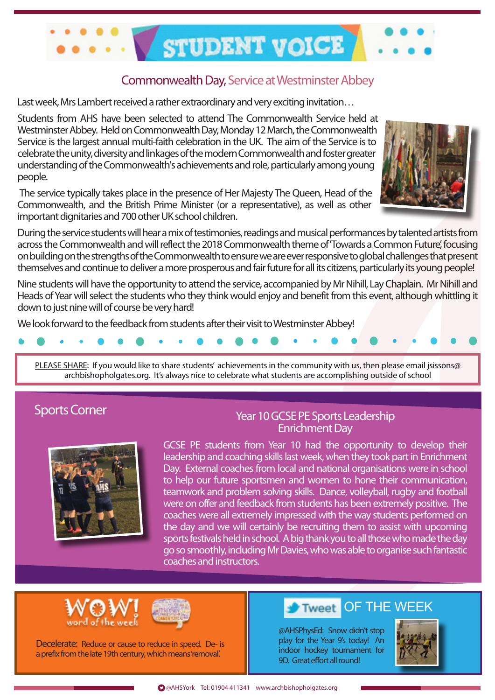

### Commonwealth Day, Service at Westminster Abbey

Last week, Mrs Lambert received a rather extraordinary and very exciting invitation…

Students from AHS have been selected to attend The Commonwealth Service held at Westminster Abbey. Held on Commonwealth Day, Monday 12 March, the Commonwealth Service is the largest annual multi-faith celebration in the UK. The aim of the Service is to celebrate the unity, diversity and linkages of the modern Commonwealth and foster greater understanding of the Commonwealth's achievements and role, particularly among young people.

 The service typically takes place in the presence of Her Majesty The Queen, Head of the Commonwealth, and the British Prime Minister (or a representative), as well as other important dignitaries and 700 other UK school children.



During the service students will hear a mix of testimonies, readings and musical performances by talented artists from across the Commonwealth and will reflect the 2018 Commonwealth theme of 'Towards a Common Future', focusing on building on the strengths of the Commonwealth to ensure we are ever responsive to global challenges that present themselves and continue to deliver a more prosperous and fair future for all its citizens, particularly its young people!

Nine students will have the opportunity to attend the service, accompanied by Mr Nihill, Lay Chaplain. Mr Nihill and Heads of Year will select the students who they think would enjoy and benefit from this event, although whittling it down to just nine will of course be very hard!

We look forward to the feedback from students after their visit to Westminster Abbey!



PLEASE SHARE: If you would like to share students' achievements in the community with us, then please email jsissons@ archbishopholgates.org. It's always nice to celebrate what students are accomplishing outside of school

### Sports Corner



#### Year 10 GCSE PE Sports Leadership Enrichment Day

GCSE PE students from Year 10 had the opportunity to develop their leadership and coaching skills last week, when they took part in Enrichment Day. External coaches from local and national organisations were in school to help our future sportsmen and women to hone their communication, teamwork and problem solving skills. Dance, volleyball, rugby and football were on offer and feedback from students has been extremely positive. The coaches were all extremely impressed with the way students performed on the day and we will certainly be recruiting them to assist with upcoming sports festivals held in school. A big thank you to all those who made the day go so smoothly, including Mr Davies, who was able to organise such fantastic coaches and instructors.





Decelerate: Reduce or cause to reduce in speed. De- is a prefix from the late 19th century, which means 'removal'.

#### OF THE WEEK Tweet

@AHSPhysEd: Snow didn't stop play for the Year 9's today! An indoor hockey tournament for 9D. Great effort all round!

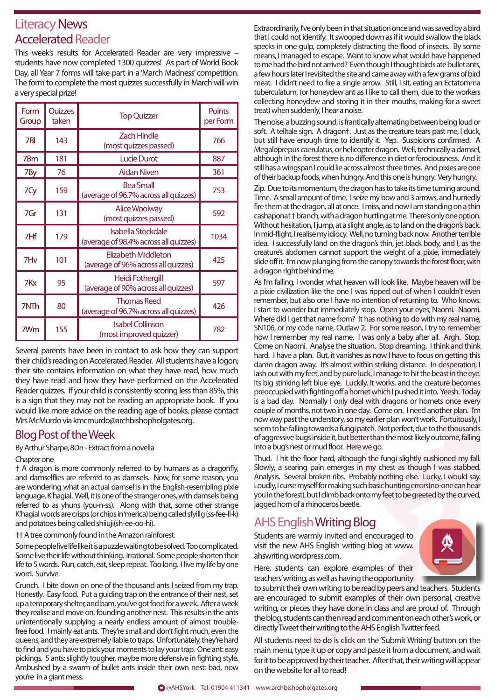### Literacy News Accelerated Reader

This week's results for Accelerated Reader are very impressive – students have now completed 1300 quizzes! As part of World Book Day, all Year 7 forms will take part in a 'March Madness' competition. The form to complete the most quizzes successfully in March will win a very special prize!

| Form<br>Group   | Quizzes<br>taken | <b>Top Quizzer</b>                                                 | <b>Points</b><br>per Form |
|-----------------|------------------|--------------------------------------------------------------------|---------------------------|
| 7BI             | 143              | <b>Zach Hindle</b><br>(most quizzes passed)                        | 766                       |
| 7Bm             | 181              | <b>Lucie Durot</b>                                                 | 887                       |
| 7By             | 76               | Aidan Niven                                                        | 361                       |
| 7Cy             | 159              | <b>Bea Small</b><br>(average of 96.7% across all quizzes)          | 753                       |
| 7Gr             | 131              | Alice Woolway<br>(most quizzes passed)                             | 592                       |
| 7Hf             | 179              | <b>Isabella Stockdale</b><br>(average of 98.4% across all quizzes) | 1034                      |
| 7H <sub>v</sub> | 101              | <b>Elizabeth Middleton</b><br>(average of 96% across all quizzes)  | 425                       |
| 7Kx             | 95               | Heidi Fothergill<br>(average of 90% across all quizzes)            | 597                       |
| 7NTh            | 80               | <b>Thomas Reed</b><br>(average of 96.7% across all quizzes)        | 426                       |
| 7Wm             | 155              | <b>Isabel Collinson</b><br>(most improved quizzer)                 | 782                       |

Several parents have been in contact to ask how they can support their child's reading on Accelerated Reader. All students have a logon; their site contains information on what they have read, how much they have read and how they have performed on the Accelerated Reader quizzes. If your child is consistently scoring less than 85%, this is a sign that they may not be reading an appropriate book. If you would like more advice on the reading age of books, please contact Mrs McMurdo via kmcmurdo@archbishopholgates.org.

#### Blog Post of the Week

By Arthur Sharpe, 8Dn - Extract from a novella

#### Chapter one

† A dragon is more commonly referred to by humans as a dragonfly, and damselflies are referred to as damsels. Now, for some reason, you are wondering what an actual damsel is in the English-resembling pixie language, K'hagial. Well, it is one of the stranger ones, with damsels being referred to as yhuns (you-n-ss). Along with that, some other strange K'hagial words are crisps (or chips in 'merica) being called sfyillg (ss-fee-ll-k) and potatoes being called shiiuji(sh-ee-oo-hi).

†† A tree commonly found in the Amazon rainforest.

Some people live life like it is a puzzle waiting to be solved. Too complicated. Some live their life without thinking. Irrational. Some people shorten their life to 5 words. Run, catch, eat, sleep repeat. Too long. I live my life by one word. Survive.

Crunch. I bite down on one of the thousand ants I seized from my trap. Honestly. Easy food. Put a guiding trap on the entrance of their nest, set up a temporary shelter, and bam, you've got food for a week. After a week they realise and move on, founding another nest. This results in the ants unintentionally supplying a nearly endless amount of almost troublefree food. I mainly eat ants. They're small and don't fight much, even the queens, and they are extremely liable to traps. Unfortunately, they're hard to find and you have to pick your moments to lay your trap. One ant: easy pickings. 5 ants: slightly tougher, maybe more defensive in fighting style. Ambushed by a swarm of bullet ants inside their own nest: bad, now you're in a giant mess.

Extraordinarily, I've only been in that situation once and was saved by a bird that I could not identify. It swooped down as if it would swallow the black specks in one gulp, completely distracting the flood of insects. By some means, I managed to escape. Want to know what would have happened to me had the bird not arrived? Even though I thought birds ate bullet ants, a few hours later I revisited the site and came away with a few grams of bird meat. I didn't need to fire a single arrow. Still, I sit, eating an Ectatomma tuberculatum, (or honeydew ant as I like to call them, due to the workers collecting honeydew and storing it in their mouths, making for a sweet treat) when suddenly, I hear a noise.

The noise, a buzzing sound, is frantically alternating between being loud or soft. A telltale sign. A dragon†. Just as the creature tears past me, I duck, but still have enough time to identify it. Yep. Suspicions confirmed. A Megaloprepus caerulatus, or helicopter dragon. Well, technically a damsel, although in the forest there is no difference in diet or ferociousness. And it still has a wingspan I could lie across almost three times. And pixies are one of their backup foods, when hungry. And this one is hungry. Very hungry.

Zip. Due to its momentum, the dragon has to take its time turning around. Time. A small amount of time. I seize my bow and 3 arrows, and hurriedly fire them at the dragon, all at once. I miss, and now I am standing on a thin cashapona†† branch, with a dragon hurtling at me. There's only one option. Without hesitation, I jump, at a slight angle, as to land on the dragon's back. In mid-flight, I realise my idiocy. Well, no turning back now. Another terrible idea. I successfully land on the dragon's thin, jet black body, and I, as the creature's abdomen cannot support the weight of a pixie, immediately slide off it. I'm now plunging from the canopy towards the forest floor, with a dragon right behind me.

As I'm falling, I wonder what heaven will look like. Maybe heaven will be a pixie civilization like the one I was ripped out of when I couldn't even remember, but also one I have no intention of returning to. Who knows. I start to wonder but immediately stop. Open your eyes, Naomi. Naomi. Where did I get that name from? It has nothing to do with my real name, SN106, or my code name, Outlaw 2. For some reason, I try to remember how I remember my real name. I was only a baby after all. Argh. Stop. Come on Naomi. Analyse the situation. Stop dreaming. I think and think hard. I have a plan. But, it vanishes as now I have to focus on getting this damn dragon away. It's almost within striking distance. In desperation, I lash out with my feet, and by pure luck, I manage to hit the beast in the eye. Its big stinking left blue eye. Luckily, It works, and the creature becomes preoccupied with fighting off a hornet which I pushed it into. Yeesh. Today is a bad day. Normally I only deal with dragons or hornets once every couple of months, not two in one day. Come on. I need another plan. I'm now way past the understory, so my earlier plan won't work. Fortuitously, I seem to be falling towards a fungi patch. Not perfect, due to the thousands of aggressive bugs inside it, but better than the most likely outcome, falling into a bug's nest or mud floor. Here we go.

Thud. I hit the floor hard, although the fungi slightly cushioned my fall. Slowly, a searing pain emerges in my chest as though I was stabbed. Analysis. Several broken ribs. Probably nothing else. Lucky, I would say. Loudly, I curse myself for making such basic hunting errors(no-one can hear you in the forest), but I climb back onto my feet to be greeted by the curved, jagged horn of a rhinoceros beetle.

### AHS EnglishWriting Blog

Students are warmly invited and encouraged to visit the new AHS English writing blog at www. ahswriting.wordpress.com.



Here, students can explore examples of their teachers' writing, as well as having the opportunity

to submit their own writing to be read by peers and teachers. Students are encouraged to submit examples of their own personal, creative writing, or pieces they have done in class and are proud of. Through the blog, students can then read and comment on each other's work, or directly Tweet their writing to the AHS English Twitter feed.

All students need to do is click on the 'Submit Writing' button on the main menu, type it up or copy and paste it from a document, and wait for it to be approved by their teacher. After that, their writing will appear on the website for all to read!